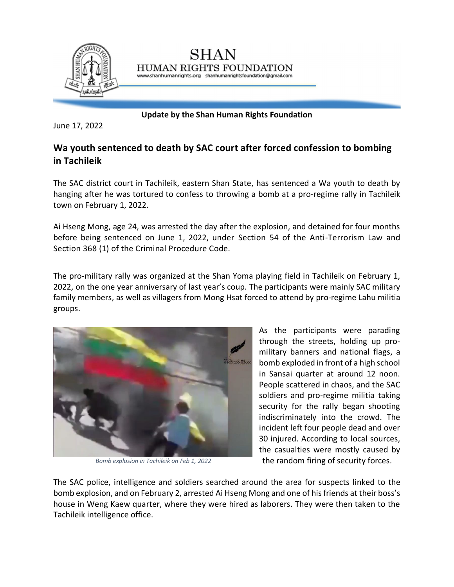

**Update by the Shan Human Rights Foundation**

June 17, 2022

## **Wa youth sentenced to death by SAC court after forced confession to bombing in Tachileik**

The SAC district court in Tachileik, eastern Shan State, has sentenced a Wa youth to death by hanging after he was tortured to confess to throwing a bomb at a pro-regime rally in Tachileik town on February 1, 2022.

Ai Hseng Mong, age 24, was arrested the day after the explosion, and detained for four months before being sentenced on June 1, 2022, under Section 54 of the Anti-Terrorism Law and Section 368 (1) of the Criminal Procedure Code.

The pro-military rally was organized at the Shan Yoma playing field in Tachileik on February 1, 2022, on the one year anniversary of last year's coup. The participants were mainly SAC military family members, as well as villagers from Mong Hsat forced to attend by pro-regime Lahu militia groups.



*Bomb explosion in Tachileik on Feb 1, 2022*

As the participants were parading through the streets, holding up promilitary banners and national flags, a bomb exploded in front of a high school in Sansai quarter at around 12 noon. People scattered in chaos, and the SAC soldiers and pro-regime militia taking security for the rally began shooting indiscriminately into the crowd. The incident left four people dead and over 30 injured. According to local sources, the casualties were mostly caused by the random firing of security forces.

The SAC police, intelligence and soldiers searched around the area for suspects linked to the bomb explosion, and on February 2, arrested Ai Hseng Mong and one of his friends at their boss's house in Weng Kaew quarter, where they were hired as laborers. They were then taken to the Tachileik intelligence office.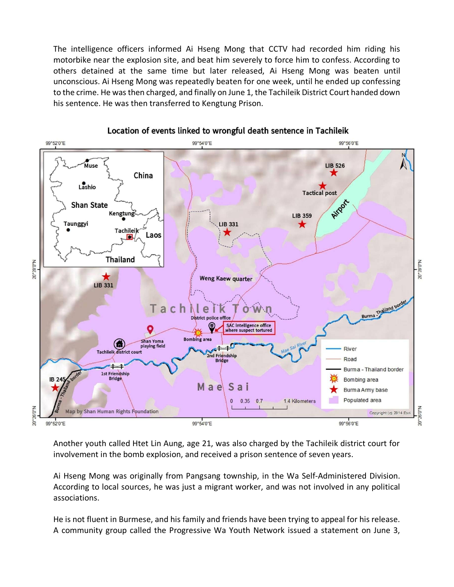The intelligence officers informed Ai Hseng Mong that CCTV had recorded him riding his motorbike near the explosion site, and beat him severely to force him to confess. According to others detained at the same time but later released, Ai Hseng Mong was beaten until unconscious. Ai Hseng Mong was repeatedly beaten for one week, until he ended up confessing to the crime. He was then charged, and finally on June 1, the Tachileik District Court handed down his sentence. He was then transferred to Kengtung Prison.



Location of events linked to wrongful death sentence in Tachileik

Another youth called Htet Lin Aung, age 21, was also charged by the Tachileik district court for involvement in the bomb explosion, and received a prison sentence of seven years.

Ai Hseng Mong was originally from Pangsang township, in the Wa Self-Administered Division. According to local sources, he was just a migrant worker, and was not involved in any political associations.

He is not fluent in Burmese, and his family and friends have been trying to appeal for his release. A community group called the Progressive Wa Youth Network issued a statement on June 3,